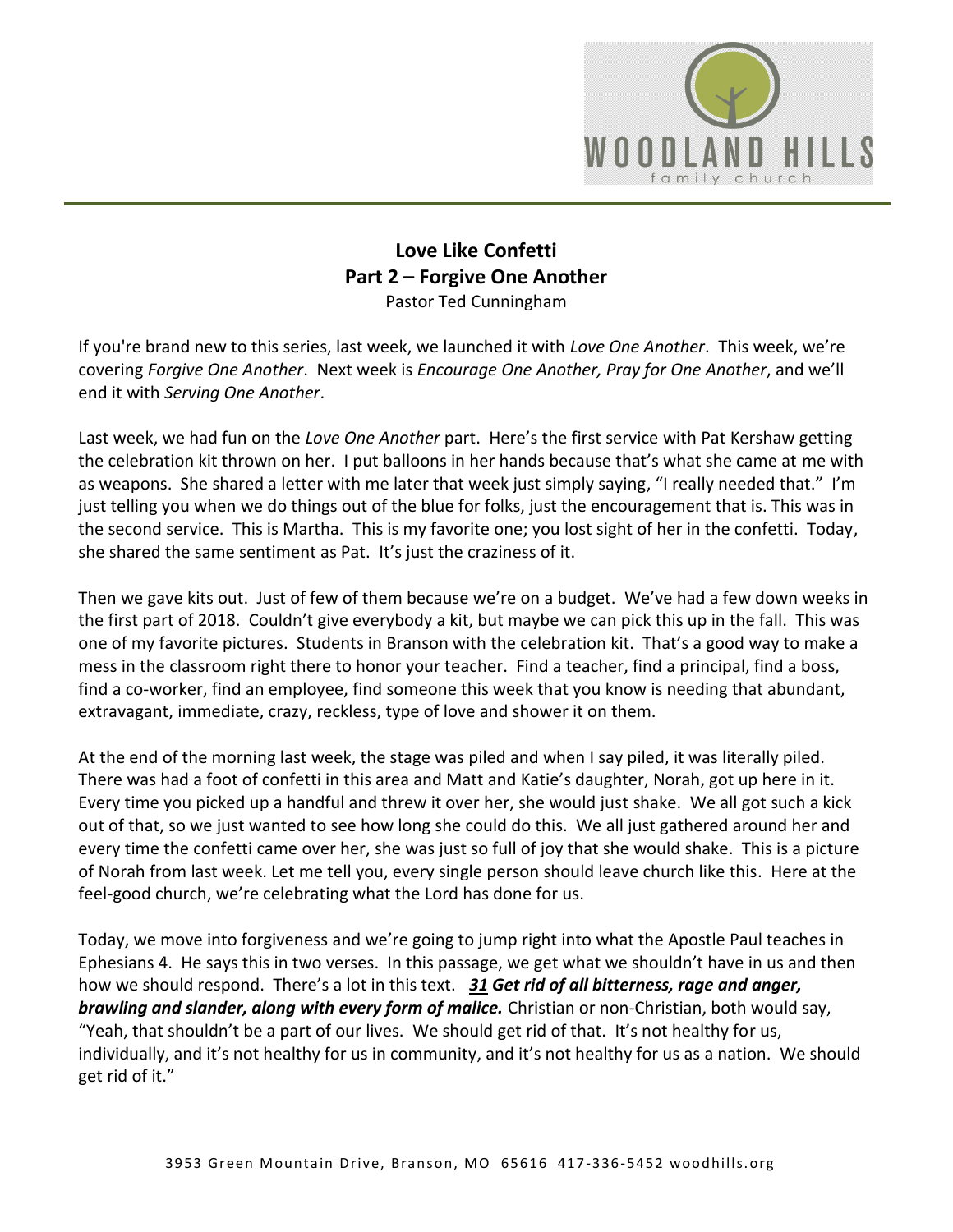

## **Love Like Confetti Part 2 – Forgive One Another** Pastor Ted Cunningham

If you're brand new to this series, last week, we launched it with *Love One Another*. This week, we're covering *Forgive One Another*. Next week is *Encourage One Another, Pray for One Another*, and we'll end it with *Serving One Another*.

Last week, we had fun on the *Love One Another* part. Here's the first service with Pat Kershaw getting the celebration kit thrown on her. I put balloons in her hands because that's what she came at me with as weapons. She shared a letter with me later that week just simply saying, "I really needed that." I'm just telling you when we do things out of the blue for folks, just the encouragement that is. This was in the second service. This is Martha. This is my favorite one; you lost sight of her in the confetti. Today, she shared the same sentiment as Pat. It's just the craziness of it.

Then we gave kits out. Just of few of them because we're on a budget. We've had a few down weeks in the first part of 2018. Couldn't give everybody a kit, but maybe we can pick this up in the fall. This was one of my favorite pictures. Students in Branson with the celebration kit. That's a good way to make a mess in the classroom right there to honor your teacher. Find a teacher, find a principal, find a boss, find a co-worker, find an employee, find someone this week that you know is needing that abundant, extravagant, immediate, crazy, reckless, type of love and shower it on them.

At the end of the morning last week, the stage was piled and when I say piled, it was literally piled. There was had a foot of confetti in this area and Matt and Katie's daughter, Norah, got up here in it. Every time you picked up a handful and threw it over her, she would just shake. We all got such a kick out of that, so we just wanted to see how long she could do this. We all just gathered around her and every time the confetti came over her, she was just so full of joy that she would shake. This is a picture of Norah from last week. Let me tell you, every single person should leave church like this. Here at the feel-good church, we're celebrating what the Lord has done for us.

Today, we move into forgiveness and we're going to jump right into what the Apostle Paul teaches in Ephesians 4. He says this in two verses. In this passage, we get what we shouldn't have in us and then how we should respond. There's a lot in this text. *[31](https://www.studylight.org/desk/?q=eph%204:31&t1=en_niv&sr=1) Get rid of all bitterness, rage and anger, brawling and slander, along with every form of malice.* Christian or non-Christian, both would say, "Yeah, that shouldn't be a part of our lives. We should get rid of that. It's not healthy for us, individually, and it's not healthy for us in community, and it's not healthy for us as a nation. We should get rid of it."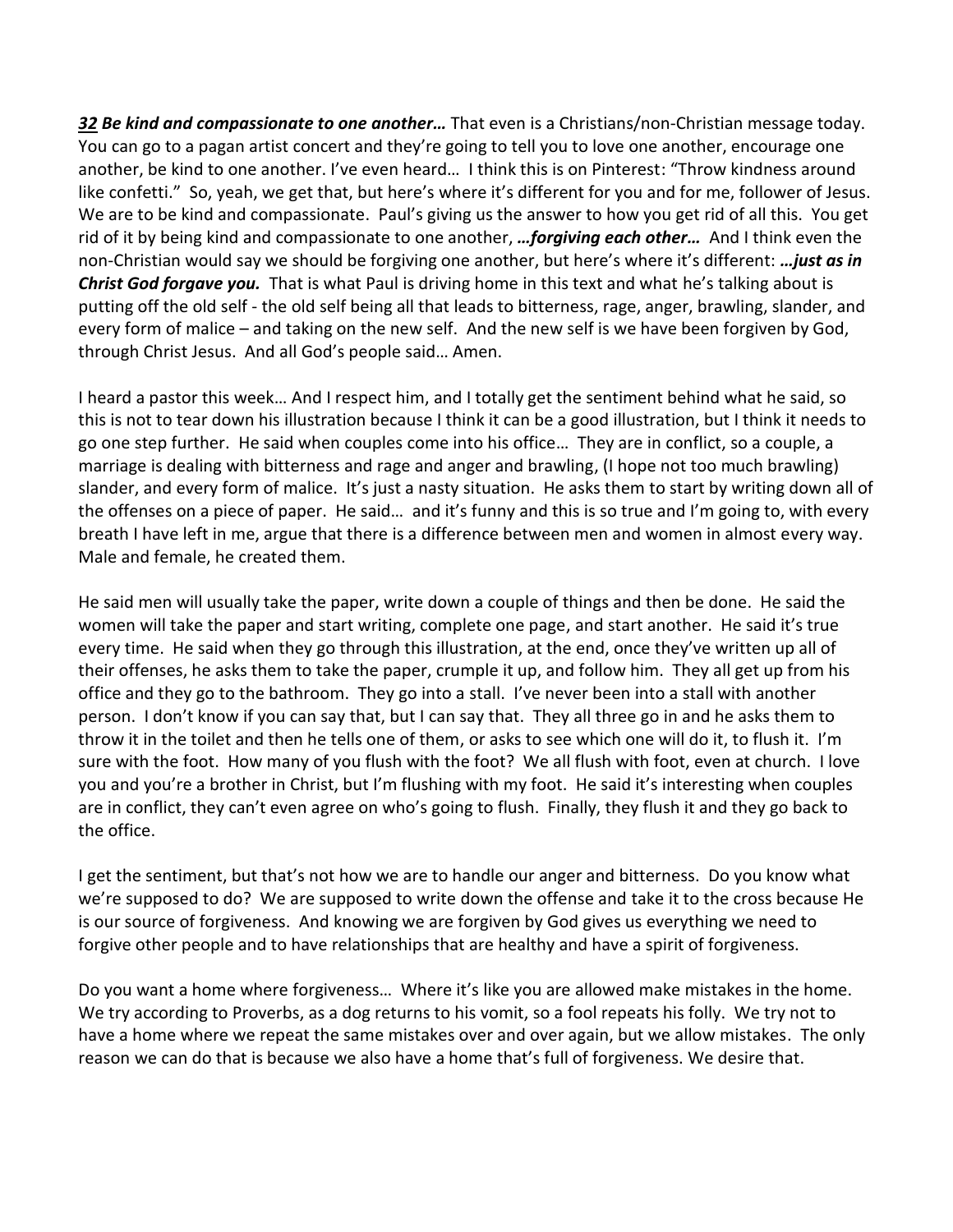*[32](https://www.studylight.org/desk/?q=eph%204:32&t1=en_niv&sr=1) Be kind and compassionate to one another…* That even is a Christians/non-Christian message today. You can go to a pagan artist concert and they're going to tell you to love one another, encourage one another, be kind to one another. I've even heard… I think this is on Pinterest: "Throw kindness around like confetti." So, yeah, we get that, but here's where it's different for you and for me, follower of Jesus. We are to be kind and compassionate. Paul's giving us the answer to how you get rid of all this. You get rid of it by being kind and compassionate to one another, *…forgiving each other…* And I think even the non-Christian would say we should be forgiving one another, but here's where it's different: *…just as in Christ God forgave you.* That is what Paul is driving home in this text and what he's talking about is putting off the old self - the old self being all that leads to bitterness, rage, anger, brawling, slander, and every form of malice – and taking on the new self. And the new self is we have been forgiven by God, through Christ Jesus. And all God's people said… Amen.

I heard a pastor this week… And I respect him, and I totally get the sentiment behind what he said, so this is not to tear down his illustration because I think it can be a good illustration, but I think it needs to go one step further. He said when couples come into his office… They are in conflict, so a couple, a marriage is dealing with bitterness and rage and anger and brawling, (I hope not too much brawling) slander, and every form of malice. It's just a nasty situation. He asks them to start by writing down all of the offenses on a piece of paper. He said… and it's funny and this is so true and I'm going to, with every breath I have left in me, argue that there is a difference between men and women in almost every way. Male and female, he created them.

He said men will usually take the paper, write down a couple of things and then be done. He said the women will take the paper and start writing, complete one page, and start another. He said it's true every time. He said when they go through this illustration, at the end, once they've written up all of their offenses, he asks them to take the paper, crumple it up, and follow him. They all get up from his office and they go to the bathroom. They go into a stall. I've never been into a stall with another person. I don't know if you can say that, but I can say that. They all three go in and he asks them to throw it in the toilet and then he tells one of them, or asks to see which one will do it, to flush it. I'm sure with the foot. How many of you flush with the foot? We all flush with foot, even at church. I love you and you're a brother in Christ, but I'm flushing with my foot. He said it's interesting when couples are in conflict, they can't even agree on who's going to flush. Finally, they flush it and they go back to the office.

I get the sentiment, but that's not how we are to handle our anger and bitterness. Do you know what we're supposed to do? We are supposed to write down the offense and take it to the cross because He is our source of forgiveness. And knowing we are forgiven by God gives us everything we need to forgive other people and to have relationships that are healthy and have a spirit of forgiveness.

Do you want a home where forgiveness… Where it's like you are allowed make mistakes in the home. We try according to Proverbs, as a dog returns to his vomit, so a fool repeats his folly. We try not to have a home where we repeat the same mistakes over and over again, but we allow mistakes. The only reason we can do that is because we also have a home that's full of forgiveness. We desire that.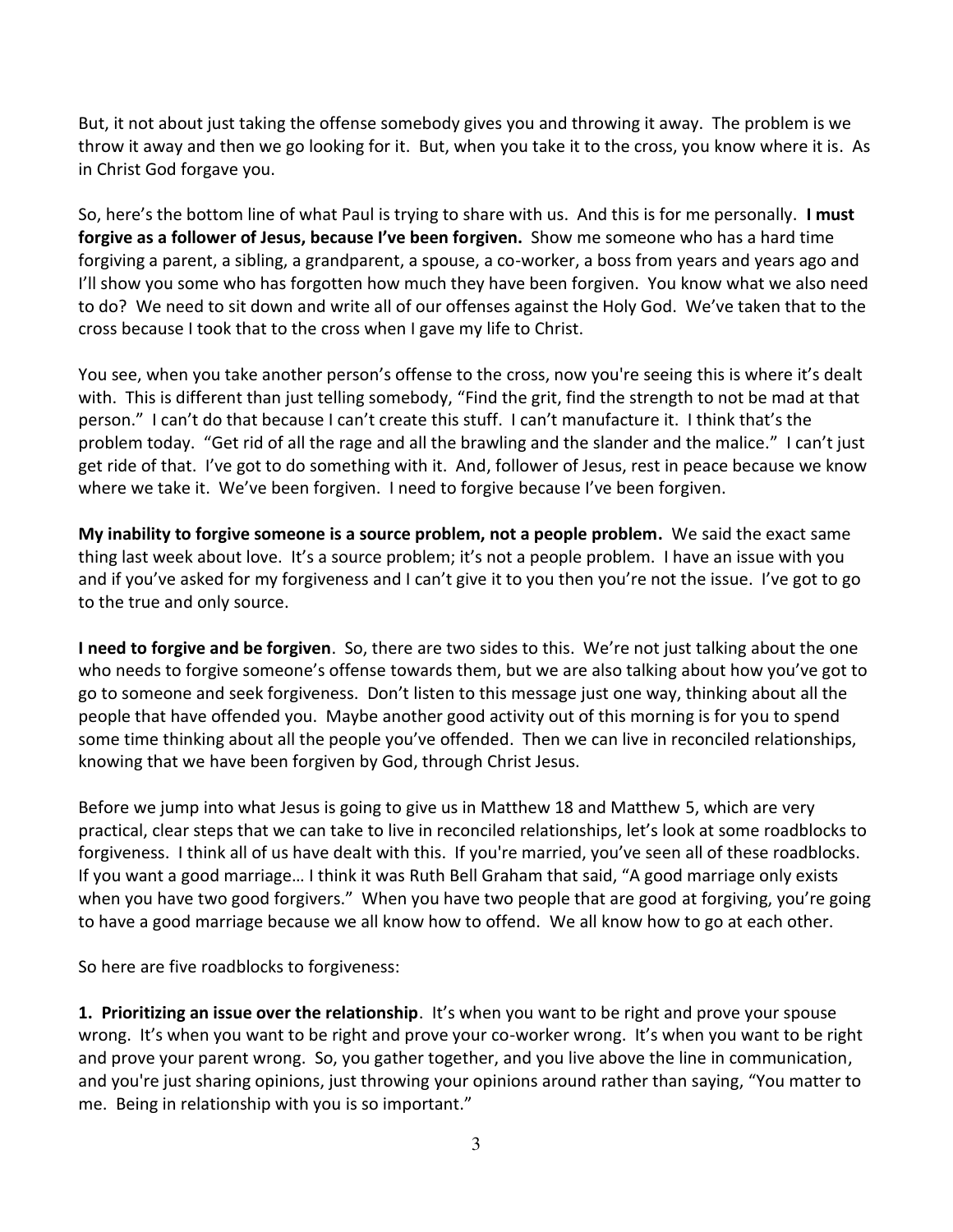But, it not about just taking the offense somebody gives you and throwing it away. The problem is we throw it away and then we go looking for it. But, when you take it to the cross, you know where it is. As in Christ God forgave you.

So, here's the bottom line of what Paul is trying to share with us. And this is for me personally. **I must forgive as a follower of Jesus, because I've been forgiven.** Show me someone who has a hard time forgiving a parent, a sibling, a grandparent, a spouse, a co-worker, a boss from years and years ago and I'll show you some who has forgotten how much they have been forgiven. You know what we also need to do? We need to sit down and write all of our offenses against the Holy God. We've taken that to the cross because I took that to the cross when I gave my life to Christ.

You see, when you take another person's offense to the cross, now you're seeing this is where it's dealt with. This is different than just telling somebody, "Find the grit, find the strength to not be mad at that person." I can't do that because I can't create this stuff. I can't manufacture it. I think that's the problem today. "Get rid of all the rage and all the brawling and the slander and the malice." I can't just get ride of that. I've got to do something with it. And, follower of Jesus, rest in peace because we know where we take it. We've been forgiven. I need to forgive because I've been forgiven.

**My inability to forgive someone is a source problem, not a people problem.** We said the exact same thing last week about love. It's a source problem; it's not a people problem. I have an issue with you and if you've asked for my forgiveness and I can't give it to you then you're not the issue. I've got to go to the true and only source.

**I need to forgive and be forgiven**. So, there are two sides to this. We're not just talking about the one who needs to forgive someone's offense towards them, but we are also talking about how you've got to go to someone and seek forgiveness. Don't listen to this message just one way, thinking about all the people that have offended you. Maybe another good activity out of this morning is for you to spend some time thinking about all the people you've offended. Then we can live in reconciled relationships, knowing that we have been forgiven by God, through Christ Jesus.

Before we jump into what Jesus is going to give us in Matthew 18 and Matthew 5, which are very practical, clear steps that we can take to live in reconciled relationships, let's look at some roadblocks to forgiveness. I think all of us have dealt with this. If you're married, you've seen all of these roadblocks. If you want a good marriage… I think it was Ruth Bell Graham that said, "A good marriage only exists when you have two good forgivers." When you have two people that are good at forgiving, you're going to have a good marriage because we all know how to offend. We all know how to go at each other.

So here are five roadblocks to forgiveness:

**1. Prioritizing an issue over the relationship**. It's when you want to be right and prove your spouse wrong. It's when you want to be right and prove your co-worker wrong. It's when you want to be right and prove your parent wrong. So, you gather together, and you live above the line in communication, and you're just sharing opinions, just throwing your opinions around rather than saying, "You matter to me. Being in relationship with you is so important."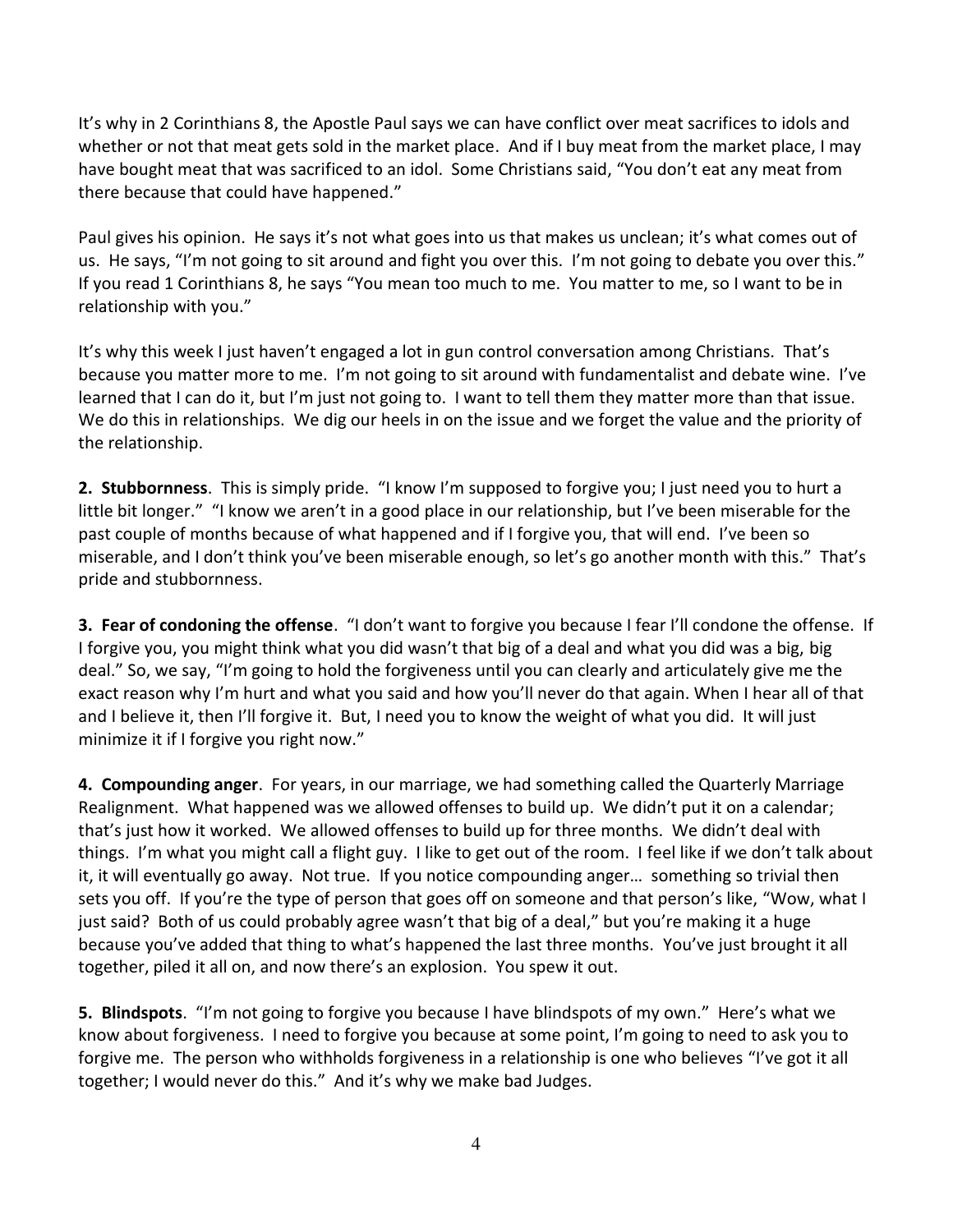It's why in 2 Corinthians 8, the Apostle Paul says we can have conflict over meat sacrifices to idols and whether or not that meat gets sold in the market place. And if I buy meat from the market place, I may have bought meat that was sacrificed to an idol. Some Christians said, "You don't eat any meat from there because that could have happened."

Paul gives his opinion. He says it's not what goes into us that makes us unclean; it's what comes out of us. He says, "I'm not going to sit around and fight you over this. I'm not going to debate you over this." If you read 1 Corinthians 8, he says "You mean too much to me. You matter to me, so I want to be in relationship with you."

It's why this week I just haven't engaged a lot in gun control conversation among Christians. That's because you matter more to me. I'm not going to sit around with fundamentalist and debate wine. I've learned that I can do it, but I'm just not going to. I want to tell them they matter more than that issue. We do this in relationships. We dig our heels in on the issue and we forget the value and the priority of the relationship.

**2. Stubbornness**. This is simply pride. "I know I'm supposed to forgive you; I just need you to hurt a little bit longer." "I know we aren't in a good place in our relationship, but I've been miserable for the past couple of months because of what happened and if I forgive you, that will end. I've been so miserable, and I don't think you've been miserable enough, so let's go another month with this." That's pride and stubbornness.

**3. Fear of condoning the offense**. "I don't want to forgive you because I fear I'll condone the offense. If I forgive you, you might think what you did wasn't that big of a deal and what you did was a big, big deal." So, we say, "I'm going to hold the forgiveness until you can clearly and articulately give me the exact reason why I'm hurt and what you said and how you'll never do that again. When I hear all of that and I believe it, then I'll forgive it. But, I need you to know the weight of what you did. It will just minimize it if I forgive you right now."

**4. Compounding anger**. For years, in our marriage, we had something called the Quarterly Marriage Realignment. What happened was we allowed offenses to build up. We didn't put it on a calendar; that's just how it worked. We allowed offenses to build up for three months. We didn't deal with things. I'm what you might call a flight guy. I like to get out of the room. I feel like if we don't talk about it, it will eventually go away. Not true. If you notice compounding anger… something so trivial then sets you off. If you're the type of person that goes off on someone and that person's like, "Wow, what I just said? Both of us could probably agree wasn't that big of a deal," but you're making it a huge because you've added that thing to what's happened the last three months. You've just brought it all together, piled it all on, and now there's an explosion. You spew it out.

**5. Blindspots**. "I'm not going to forgive you because I have blindspots of my own." Here's what we know about forgiveness. I need to forgive you because at some point, I'm going to need to ask you to forgive me. The person who withholds forgiveness in a relationship is one who believes "I've got it all together; I would never do this." And it's why we make bad Judges.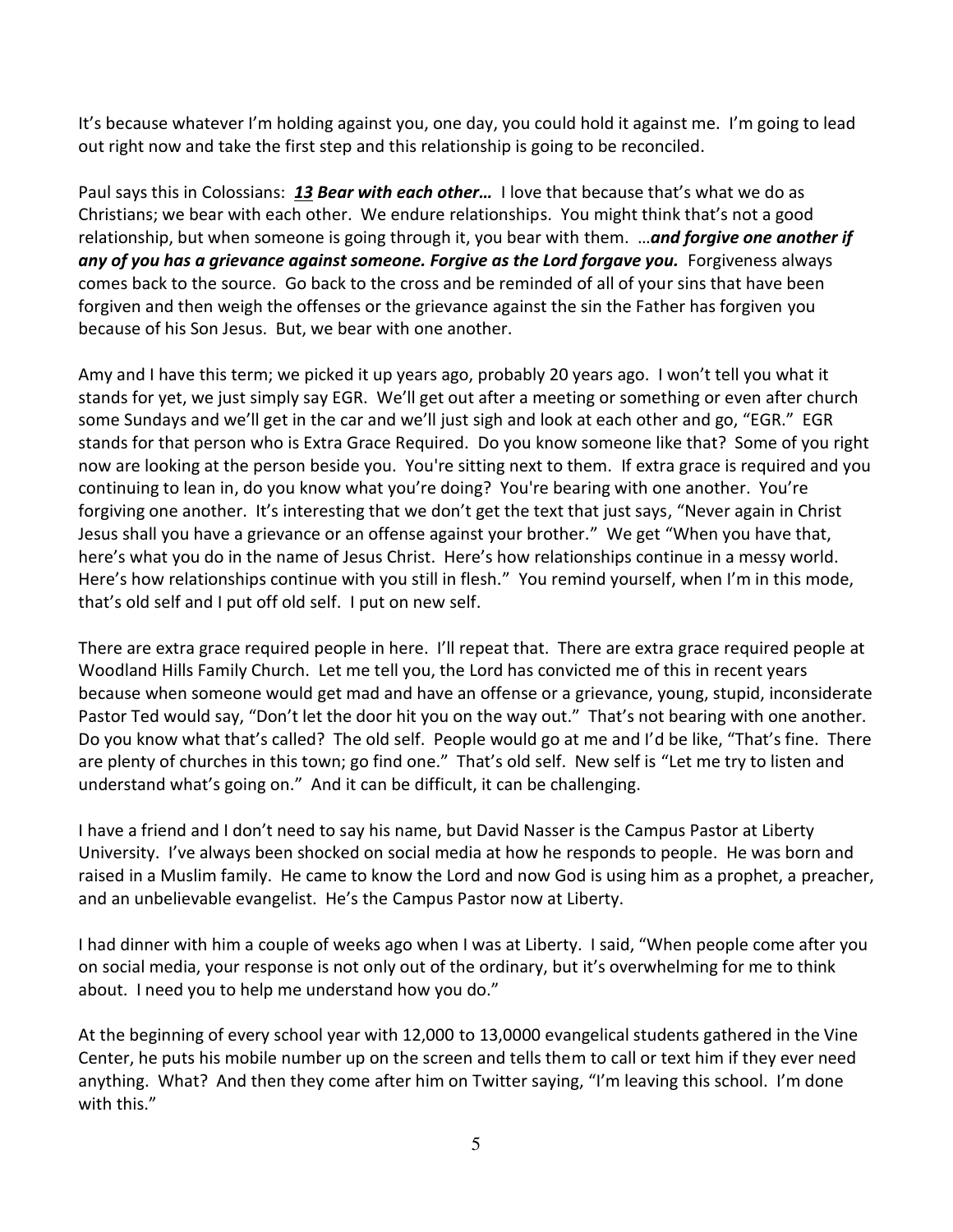It's because whatever I'm holding against you, one day, you could hold it against me. I'm going to lead out right now and take the first step and this relationship is going to be reconciled.

Paul says this in Colossians: *[13](https://www.studylight.org/desk/?q=col%203:13&t1=en_niv&sr=1) Bear with each other…* I love that because that's what we do as Christians; we bear with each other. We endure relationships. You might think that's not a good relationship, but when someone is going through it, you bear with them. …*and forgive one another if any of you has a grievance against someone. Forgive as the Lord forgave you.* Forgiveness always comes back to the source. Go back to the cross and be reminded of all of your sins that have been forgiven and then weigh the offenses or the grievance against the sin the Father has forgiven you because of his Son Jesus. But, we bear with one another.

Amy and I have this term; we picked it up years ago, probably 20 years ago. I won't tell you what it stands for yet, we just simply say EGR. We'll get out after a meeting or something or even after church some Sundays and we'll get in the car and we'll just sigh and look at each other and go, "EGR." EGR stands for that person who is Extra Grace Required. Do you know someone like that? Some of you right now are looking at the person beside you. You're sitting next to them. If extra grace is required and you continuing to lean in, do you know what you're doing? You're bearing with one another. You're forgiving one another. It's interesting that we don't get the text that just says, "Never again in Christ Jesus shall you have a grievance or an offense against your brother." We get "When you have that, here's what you do in the name of Jesus Christ. Here's how relationships continue in a messy world. Here's how relationships continue with you still in flesh." You remind yourself, when I'm in this mode, that's old self and I put off old self. I put on new self.

There are extra grace required people in here. I'll repeat that. There are extra grace required people at Woodland Hills Family Church. Let me tell you, the Lord has convicted me of this in recent years because when someone would get mad and have an offense or a grievance, young, stupid, inconsiderate Pastor Ted would say, "Don't let the door hit you on the way out." That's not bearing with one another. Do you know what that's called? The old self. People would go at me and I'd be like, "That's fine. There are plenty of churches in this town; go find one." That's old self. New self is "Let me try to listen and understand what's going on." And it can be difficult, it can be challenging.

I have a friend and I don't need to say his name, but David Nasser is the Campus Pastor at Liberty University. I've always been shocked on social media at how he responds to people. He was born and raised in a Muslim family. He came to know the Lord and now God is using him as a prophet, a preacher, and an unbelievable evangelist. He's the Campus Pastor now at Liberty.

I had dinner with him a couple of weeks ago when I was at Liberty. I said, "When people come after you on social media, your response is not only out of the ordinary, but it's overwhelming for me to think about. I need you to help me understand how you do."

At the beginning of every school year with 12,000 to 13,0000 evangelical students gathered in the Vine Center, he puts his mobile number up on the screen and tells them to call or text him if they ever need anything. What? And then they come after him on Twitter saying, "I'm leaving this school. I'm done with this."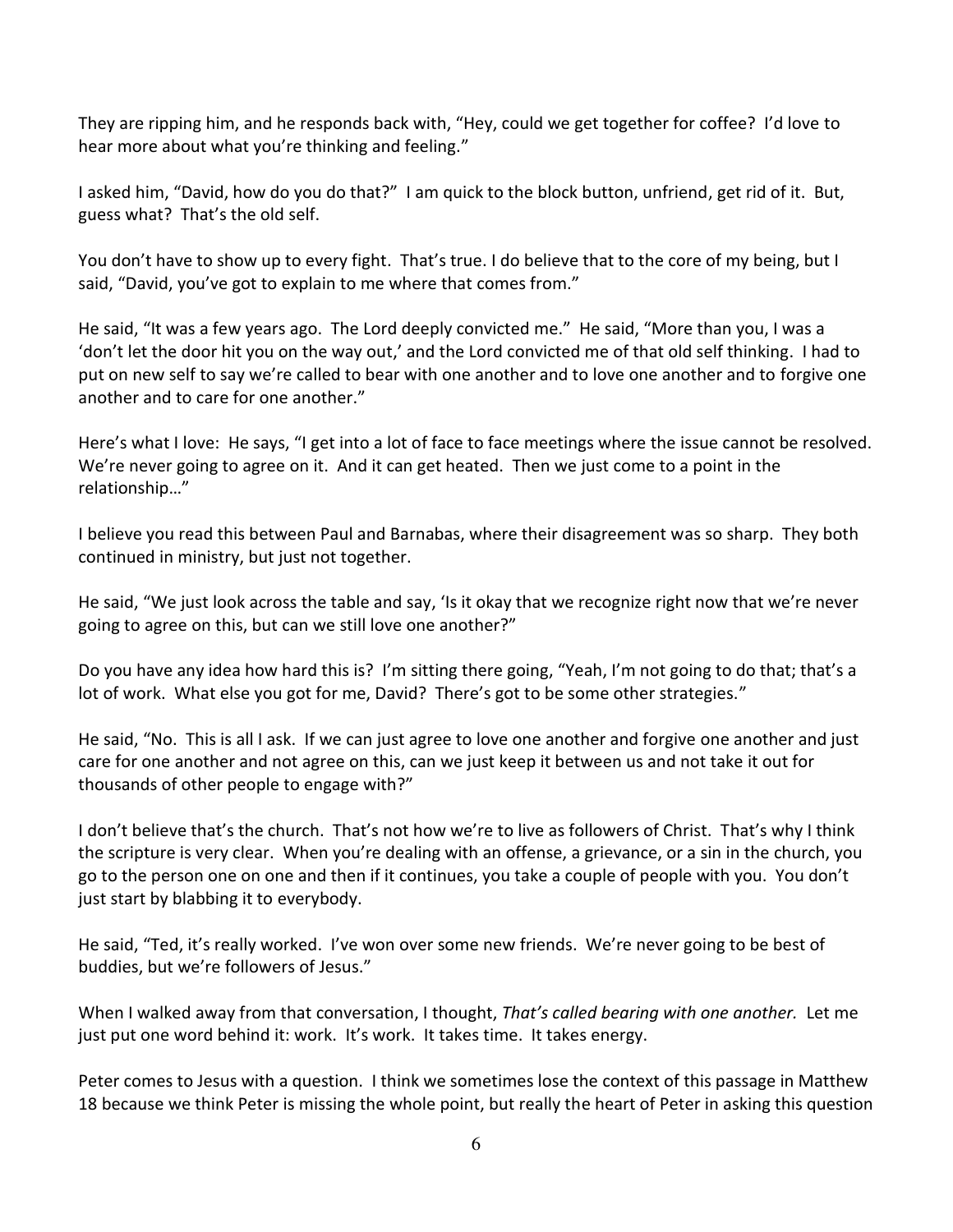They are ripping him, and he responds back with, "Hey, could we get together for coffee? I'd love to hear more about what you're thinking and feeling."

I asked him, "David, how do you do that?" I am quick to the block button, unfriend, get rid of it. But, guess what? That's the old self.

You don't have to show up to every fight. That's true. I do believe that to the core of my being, but I said, "David, you've got to explain to me where that comes from."

He said, "It was a few years ago. The Lord deeply convicted me." He said, "More than you, I was a 'don't let the door hit you on the way out,' and the Lord convicted me of that old self thinking. I had to put on new self to say we're called to bear with one another and to love one another and to forgive one another and to care for one another."

Here's what I love: He says, "I get into a lot of face to face meetings where the issue cannot be resolved. We're never going to agree on it. And it can get heated. Then we just come to a point in the relationship…"

I believe you read this between Paul and Barnabas, where their disagreement was so sharp. They both continued in ministry, but just not together.

He said, "We just look across the table and say, 'Is it okay that we recognize right now that we're never going to agree on this, but can we still love one another?"

Do you have any idea how hard this is? I'm sitting there going, "Yeah, I'm not going to do that; that's a lot of work. What else you got for me, David? There's got to be some other strategies."

He said, "No. This is all I ask. If we can just agree to love one another and forgive one another and just care for one another and not agree on this, can we just keep it between us and not take it out for thousands of other people to engage with?"

I don't believe that's the church. That's not how we're to live as followers of Christ. That's why I think the scripture is very clear. When you're dealing with an offense, a grievance, or a sin in the church, you go to the person one on one and then if it continues, you take a couple of people with you. You don't just start by blabbing it to everybody.

He said, "Ted, it's really worked. I've won over some new friends. We're never going to be best of buddies, but we're followers of Jesus."

When I walked away from that conversation, I thought, *That's called bearing with one another.* Let me just put one word behind it: work. It's work. It takes time. It takes energy.

Peter comes to Jesus with a question. I think we sometimes lose the context of this passage in Matthew 18 because we think Peter is missing the whole point, but really the heart of Peter in asking this question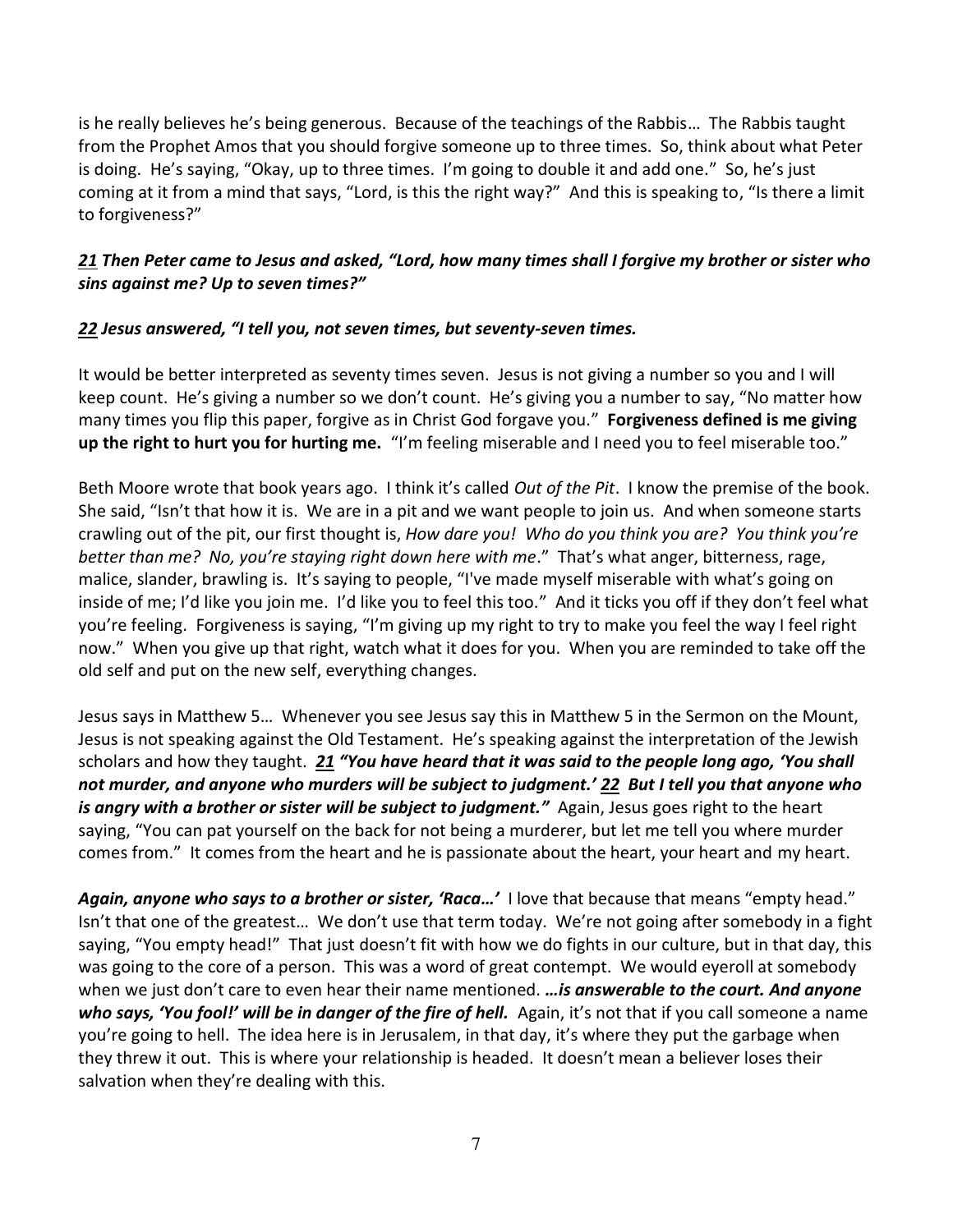is he really believes he's being generous. Because of the teachings of the Rabbis… The Rabbis taught from the Prophet Amos that you should forgive someone up to three times. So, think about what Peter is doing. He's saying, "Okay, up to three times. I'm going to double it and add one." So, he's just coming at it from a mind that says, "Lord, is this the right way?" And this is speaking to, "Is there a limit to forgiveness?"

## *[21](https://www.studylight.org/desk/?q=mt%2018:21&t1=en_niv&sr=1) Then Peter came to Jesus and asked, "Lord, how many times shall I forgive my brother or sister who sins against me? Up to seven times?"*

## *[22](https://www.studylight.org/desk/?q=mt%2018:22&t1=en_niv&sr=1) Jesus answered, "I tell you, not seven times, but seventy-seven times.*

It would be better interpreted as seventy times seven. Jesus is not giving a number so you and I will keep count. He's giving a number so we don't count. He's giving you a number to say, "No matter how many times you flip this paper, forgive as in Christ God forgave you." **Forgiveness defined is me giving up the right to hurt you for hurting me.** "I'm feeling miserable and I need you to feel miserable too."

Beth Moore wrote that book years ago. I think it's called *Out of the Pit*. I know the premise of the book. She said, "Isn't that how it is. We are in a pit and we want people to join us. And when someone starts crawling out of the pit, our first thought is, *How dare you! Who do you think you are? You think you're better than me? No, you're staying right down here with me*." That's what anger, bitterness, rage, malice, slander, brawling is. It's saying to people, "I've made myself miserable with what's going on inside of me; I'd like you join me. I'd like you to feel this too." And it ticks you off if they don't feel what you're feeling. Forgiveness is saying, "I'm giving up my right to try to make you feel the way I feel right now." When you give up that right, watch what it does for you. When you are reminded to take off the old self and put on the new self, everything changes.

Jesus says in Matthew 5… Whenever you see Jesus say this in Matthew 5 in the Sermon on the Mount, Jesus is not speaking against the Old Testament. He's speaking against the interpretation of the Jewish scholars and how they taught. *[21](https://www.studylight.org/desk/?q=mt%205:21&t1=en_niv&sr=1) "You have heard that it was said to the people long ago, 'You shall not murder, and anyone who murders will be subject to judgment.' [22](https://www.studylight.org/desk/?q=mt%205:22&t1=en_niv&sr=1) But I tell you that anyone who is angry with a brother or sister will be subject to judgment."* Again, Jesus goes right to the heart saying, "You can pat yourself on the back for not being a murderer, but let me tell you where murder comes from." It comes from the heart and he is passionate about the heart, your heart and my heart.

*Again, anyone who says to a brother or sister, 'Raca…'* I love that because that means "empty head." Isn't that one of the greatest… We don't use that term today. We're not going after somebody in a fight saying, "You empty head!" That just doesn't fit with how we do fights in our culture, but in that day, this was going to the core of a person. This was a word of great contempt. We would eyeroll at somebody when we just don't care to even hear their name mentioned. *…is answerable to the court. And anyone who says, 'You fool!' will be in danger of the fire of hell.* Again, it's not that if you call someone a name you're going to hell. The idea here is in Jerusalem, in that day, it's where they put the garbage when they threw it out. This is where your relationship is headed. It doesn't mean a believer loses their salvation when they're dealing with this.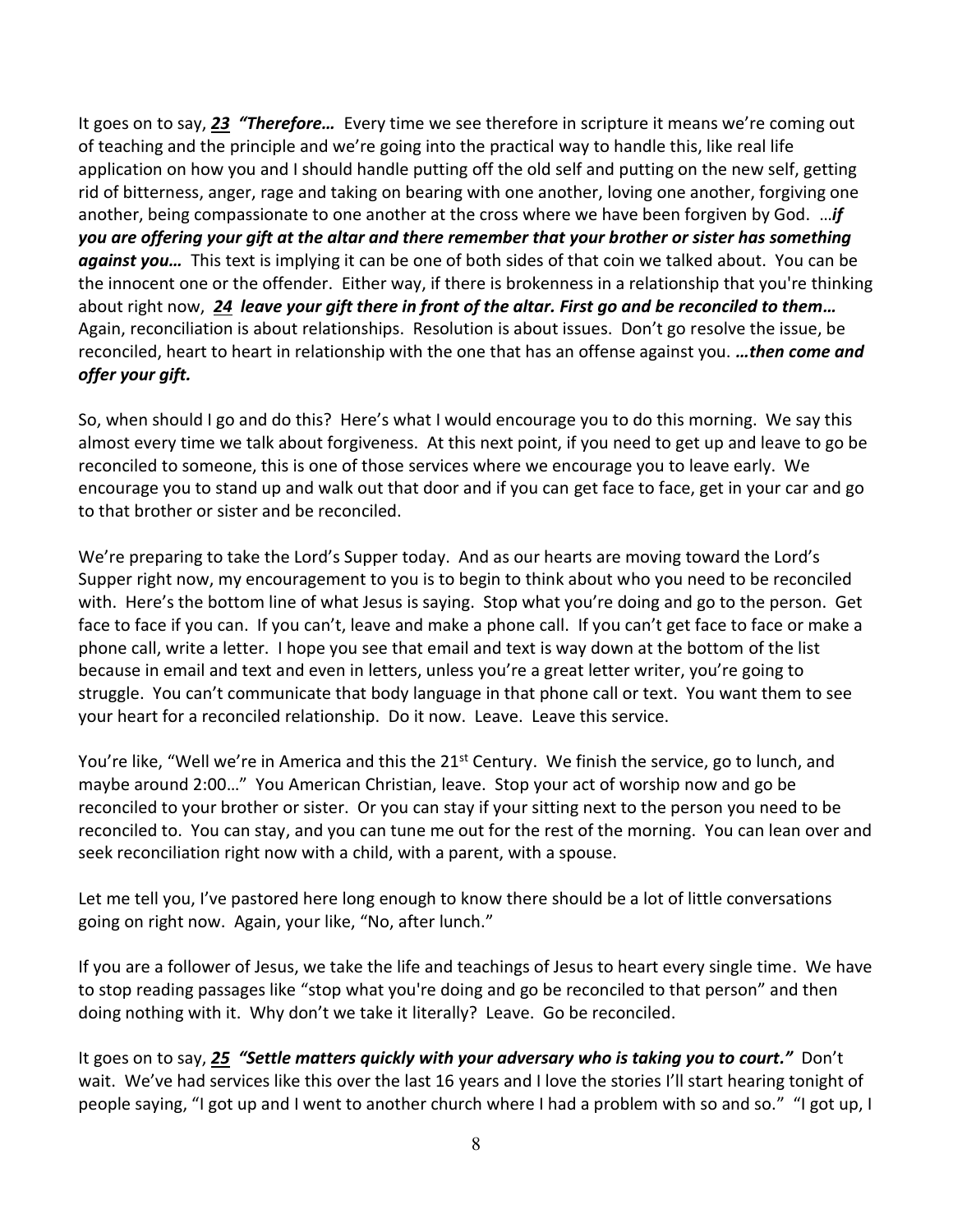It goes on to say, *[23](https://www.studylight.org/desk/?q=mt%205:23&t1=en_niv&sr=1) "Therefore…* Every time we see therefore in scripture it means we're coming out of teaching and the principle and we're going into the practical way to handle this, like real life application on how you and I should handle putting off the old self and putting on the new self, getting rid of bitterness, anger, rage and taking on bearing with one another, loving one another, forgiving one another, being compassionate to one another at the cross where we have been forgiven by God. …*if you are offering your gift at the altar and there remember that your brother or sister has something against you…* This text is implying it can be one of both sides of that coin we talked about. You can be the innocent one or the offender. Either way, if there is brokenness in a relationship that you're thinking about right now, *[24](https://www.studylight.org/desk/?q=mt%205:24&t1=en_niv&sr=1) leave your gift there in front of the altar. First go and be reconciled to them…* Again, reconciliation is about relationships. Resolution is about issues. Don't go resolve the issue, be reconciled, heart to heart in relationship with the one that has an offense against you. *…then come and offer your gift.*

So, when should I go and do this? Here's what I would encourage you to do this morning. We say this almost every time we talk about forgiveness. At this next point, if you need to get up and leave to go be reconciled to someone, this is one of those services where we encourage you to leave early. We encourage you to stand up and walk out that door and if you can get face to face, get in your car and go to that brother or sister and be reconciled.

We're preparing to take the Lord's Supper today. And as our hearts are moving toward the Lord's Supper right now, my encouragement to you is to begin to think about who you need to be reconciled with. Here's the bottom line of what Jesus is saying. Stop what you're doing and go to the person. Get face to face if you can. If you can't, leave and make a phone call. If you can't get face to face or make a phone call, write a letter. I hope you see that email and text is way down at the bottom of the list because in email and text and even in letters, unless you're a great letter writer, you're going to struggle. You can't communicate that body language in that phone call or text. You want them to see your heart for a reconciled relationship. Do it now. Leave. Leave this service.

You're like, "Well we're in America and this the  $21^{st}$  Century. We finish the service, go to lunch, and maybe around 2:00…" You American Christian, leave. Stop your act of worship now and go be reconciled to your brother or sister. Or you can stay if your sitting next to the person you need to be reconciled to. You can stay, and you can tune me out for the rest of the morning. You can lean over and seek reconciliation right now with a child, with a parent, with a spouse.

Let me tell you, I've pastored here long enough to know there should be a lot of little conversations going on right now. Again, your like, "No, after lunch."

If you are a follower of Jesus, we take the life and teachings of Jesus to heart every single time. We have to stop reading passages like "stop what you're doing and go be reconciled to that person" and then doing nothing with it. Why don't we take it literally? Leave. Go be reconciled.

It goes on to say, *[25](https://www.studylight.org/desk/?q=mt%205:25&t1=en_niv&sr=1) "Settle matters quickly with your adversary who is taking you to court."* Don't wait. We've had services like this over the last 16 years and I love the stories I'll start hearing tonight of people saying, "I got up and I went to another church where I had a problem with so and so." "I got up, I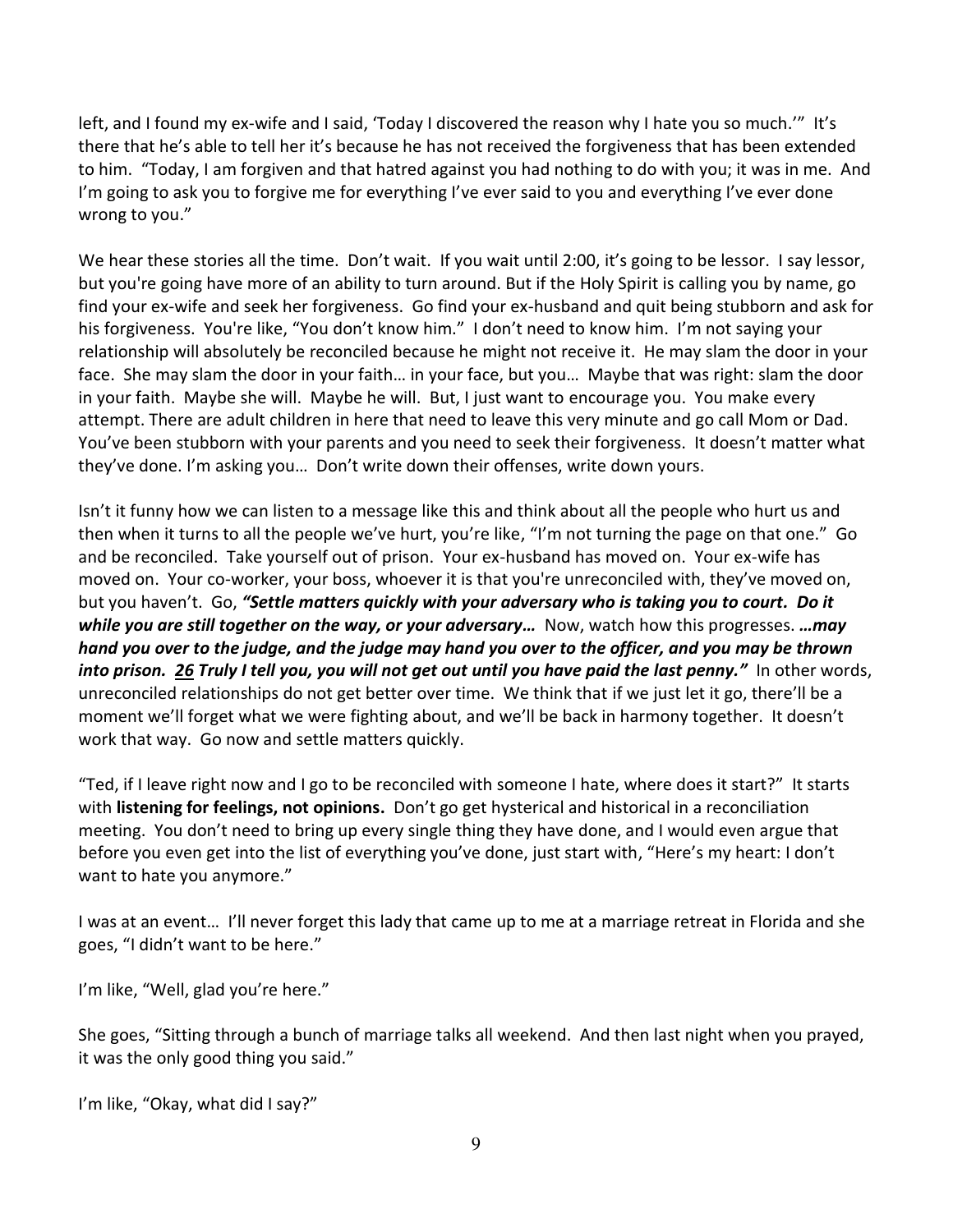left, and I found my ex-wife and I said, 'Today I discovered the reason why I hate you so much.'" It's there that he's able to tell her it's because he has not received the forgiveness that has been extended to him. "Today, I am forgiven and that hatred against you had nothing to do with you; it was in me. And I'm going to ask you to forgive me for everything I've ever said to you and everything I've ever done wrong to you."

We hear these stories all the time. Don't wait. If you wait until 2:00, it's going to be lessor. I say lessor, but you're going have more of an ability to turn around. But if the Holy Spirit is calling you by name, go find your ex-wife and seek her forgiveness. Go find your ex-husband and quit being stubborn and ask for his forgiveness. You're like, "You don't know him." I don't need to know him. I'm not saying your relationship will absolutely be reconciled because he might not receive it. He may slam the door in your face. She may slam the door in your faith… in your face, but you… Maybe that was right: slam the door in your faith. Maybe she will. Maybe he will. But, I just want to encourage you. You make every attempt. There are adult children in here that need to leave this very minute and go call Mom or Dad. You've been stubborn with your parents and you need to seek their forgiveness. It doesn't matter what they've done. I'm asking you… Don't write down their offenses, write down yours.

Isn't it funny how we can listen to a message like this and think about all the people who hurt us and then when it turns to all the people we've hurt, you're like, "I'm not turning the page on that one." Go and be reconciled. Take yourself out of prison. Your ex-husband has moved on. Your ex-wife has moved on. Your co-worker, your boss, whoever it is that you're unreconciled with, they've moved on, but you haven't. Go, *"Settle matters quickly with your adversary who is taking you to court. Do it while you are still together on the way, or your adversary…* Now, watch how this progresses. *…may hand you over to the judge, and the judge may hand you over to the officer, and you may be thrown into prison. [26](https://www.studylight.org/desk/?q=mt%205:26&t1=en_niv&sr=1) Truly I tell you, you will not get out until you have paid the last penny."* In other words, unreconciled relationships do not get better over time. We think that if we just let it go, there'll be a moment we'll forget what we were fighting about, and we'll be back in harmony together. It doesn't work that way. Go now and settle matters quickly.

"Ted, if I leave right now and I go to be reconciled with someone I hate, where does it start?" It starts with **listening for feelings, not opinions.** Don't go get hysterical and historical in a reconciliation meeting. You don't need to bring up every single thing they have done, and I would even argue that before you even get into the list of everything you've done, just start with, "Here's my heart: I don't want to hate you anymore."

I was at an event… I'll never forget this lady that came up to me at a marriage retreat in Florida and she goes, "I didn't want to be here."

I'm like, "Well, glad you're here."

She goes, "Sitting through a bunch of marriage talks all weekend. And then last night when you prayed, it was the only good thing you said."

I'm like, "Okay, what did I say?"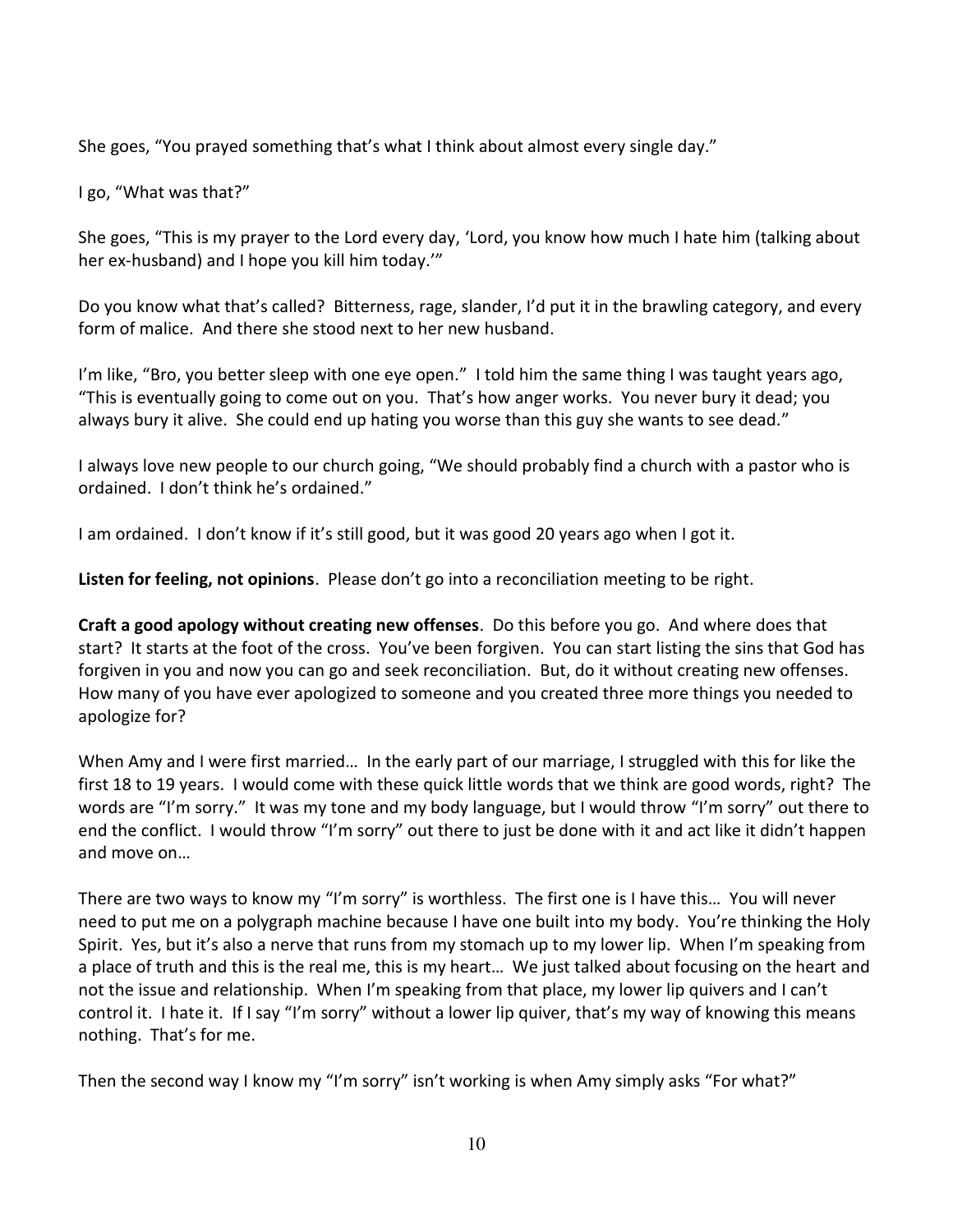She goes, "You prayed something that's what I think about almost every single day."

I go, "What was that?"

She goes, "This is my prayer to the Lord every day, 'Lord, you know how much I hate him (talking about her ex-husband) and I hope you kill him today.'"

Do you know what that's called? Bitterness, rage, slander, I'd put it in the brawling category, and every form of malice. And there she stood next to her new husband.

I'm like, "Bro, you better sleep with one eye open." I told him the same thing I was taught years ago, "This is eventually going to come out on you. That's how anger works. You never bury it dead; you always bury it alive. She could end up hating you worse than this guy she wants to see dead."

I always love new people to our church going, "We should probably find a church with a pastor who is ordained. I don't think he's ordained."

I am ordained. I don't know if it's still good, but it was good 20 years ago when I got it.

**Listen for feeling, not opinions**. Please don't go into a reconciliation meeting to be right.

**Craft a good apology without creating new offenses**. Do this before you go. And where does that start? It starts at the foot of the cross. You've been forgiven. You can start listing the sins that God has forgiven in you and now you can go and seek reconciliation. But, do it without creating new offenses. How many of you have ever apologized to someone and you created three more things you needed to apologize for?

When Amy and I were first married… In the early part of our marriage, I struggled with this for like the first 18 to 19 years. I would come with these quick little words that we think are good words, right? The words are "I'm sorry." It was my tone and my body language, but I would throw "I'm sorry" out there to end the conflict. I would throw "I'm sorry" out there to just be done with it and act like it didn't happen and move on…

There are two ways to know my "I'm sorry" is worthless. The first one is I have this… You will never need to put me on a polygraph machine because I have one built into my body. You're thinking the Holy Spirit. Yes, but it's also a nerve that runs from my stomach up to my lower lip. When I'm speaking from a place of truth and this is the real me, this is my heart… We just talked about focusing on the heart and not the issue and relationship. When I'm speaking from that place, my lower lip quivers and I can't control it. I hate it. If I say "I'm sorry" without a lower lip quiver, that's my way of knowing this means nothing. That's for me.

Then the second way I know my "I'm sorry" isn't working is when Amy simply asks "For what?"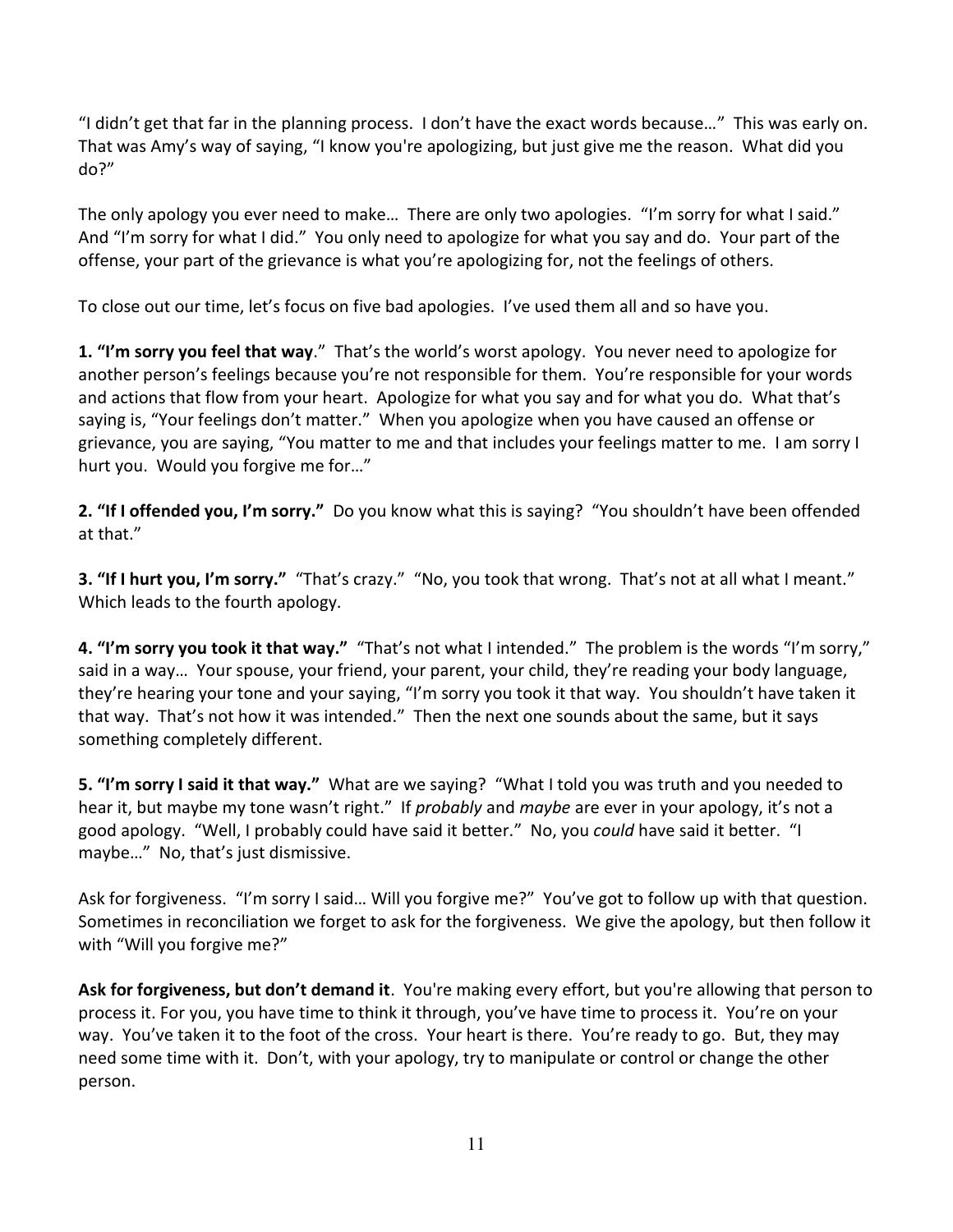"I didn't get that far in the planning process. I don't have the exact words because…" This was early on. That was Amy's way of saying, "I know you're apologizing, but just give me the reason. What did you do?"

The only apology you ever need to make… There are only two apologies. "I'm sorry for what I said." And "I'm sorry for what I did." You only need to apologize for what you say and do. Your part of the offense, your part of the grievance is what you're apologizing for, not the feelings of others.

To close out our time, let's focus on five bad apologies. I've used them all and so have you.

**1. "I'm sorry you feel that way**." That's the world's worst apology. You never need to apologize for another person's feelings because you're not responsible for them. You're responsible for your words and actions that flow from your heart. Apologize for what you say and for what you do. What that's saying is, "Your feelings don't matter." When you apologize when you have caused an offense or grievance, you are saying, "You matter to me and that includes your feelings matter to me. I am sorry I hurt you. Would you forgive me for…"

**2. "If I offended you, I'm sorry."** Do you know what this is saying? "You shouldn't have been offended at that."

**3. "If I hurt you, I'm sorry."** "That's crazy." "No, you took that wrong. That's not at all what I meant." Which leads to the fourth apology.

**4. "I'm sorry you took it that way."** "That's not what I intended." The problem is the words "I'm sorry," said in a way… Your spouse, your friend, your parent, your child, they're reading your body language, they're hearing your tone and your saying, "I'm sorry you took it that way. You shouldn't have taken it that way. That's not how it was intended." Then the next one sounds about the same, but it says something completely different.

**5. "I'm sorry I said it that way."** What are we saying? "What I told you was truth and you needed to hear it, but maybe my tone wasn't right." If *probably* and *maybe* are ever in your apology, it's not a good apology. "Well, I probably could have said it better." No, you *could* have said it better. "I maybe…" No, that's just dismissive.

Ask for forgiveness. "I'm sorry I said… Will you forgive me?" You've got to follow up with that question. Sometimes in reconciliation we forget to ask for the forgiveness. We give the apology, but then follow it with "Will you forgive me?"

**Ask for forgiveness, but don't demand it**. You're making every effort, but you're allowing that person to process it. For you, you have time to think it through, you've have time to process it. You're on your way. You've taken it to the foot of the cross. Your heart is there. You're ready to go. But, they may need some time with it. Don't, with your apology, try to manipulate or control or change the other person.